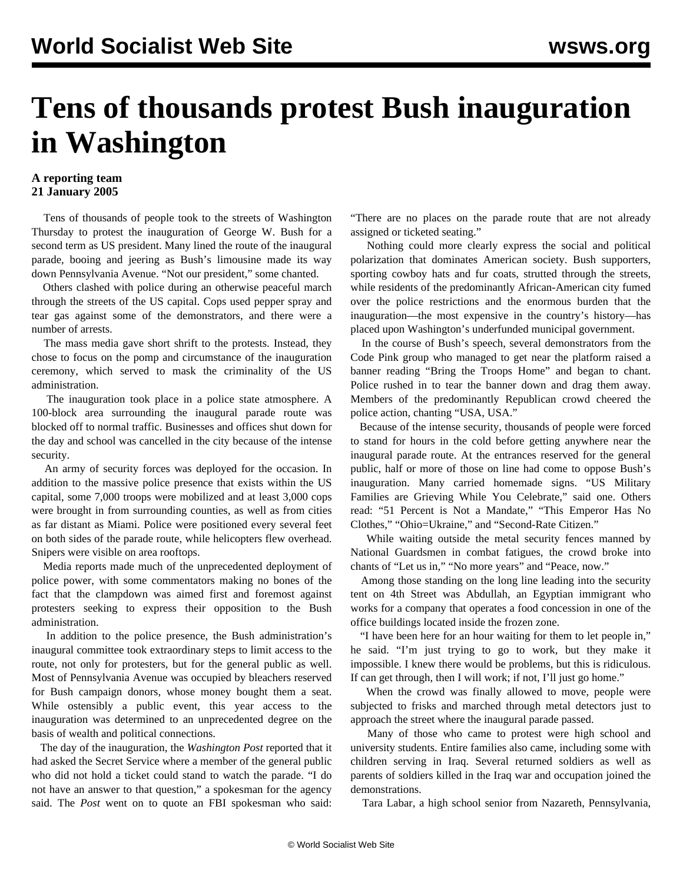## **Tens of thousands protest Bush inauguration in Washington**

## **A reporting team 21 January 2005**

 Tens of thousands of people took to the streets of Washington Thursday to protest the inauguration of George W. Bush for a second term as US president. Many lined the route of the inaugural parade, booing and jeering as Bush's limousine made its way down Pennsylvania Avenue. "Not our president," some chanted.

 Others clashed with police during an otherwise peaceful march through the streets of the US capital. Cops used pepper spray and tear gas against some of the demonstrators, and there were a number of arrests.

 The mass media gave short shrift to the protests. Instead, they chose to focus on the pomp and circumstance of the inauguration ceremony, which served to mask the criminality of the US administration.

 The inauguration took place in a police state atmosphere. A 100-block area surrounding the inaugural parade route was blocked off to normal traffic. Businesses and offices shut down for the day and school was cancelled in the city because of the intense security.

 An army of security forces was deployed for the occasion. In addition to the massive police presence that exists within the US capital, some 7,000 troops were mobilized and at least 3,000 cops were brought in from surrounding counties, as well as from cities as far distant as Miami. Police were positioned every several feet on both sides of the parade route, while helicopters flew overhead. Snipers were visible on area rooftops.

 Media reports made much of the unprecedented deployment of police power, with some commentators making no bones of the fact that the clampdown was aimed first and foremost against protesters seeking to express their opposition to the Bush administration.

 In addition to the police presence, the Bush administration's inaugural committee took extraordinary steps to limit access to the route, not only for protesters, but for the general public as well. Most of Pennsylvania Avenue was occupied by bleachers reserved for Bush campaign donors, whose money bought them a seat. While ostensibly a public event, this year access to the inauguration was determined to an unprecedented degree on the basis of wealth and political connections.

 The day of the inauguration, the *Washington Post* reported that it had asked the Secret Service where a member of the general public who did not hold a ticket could stand to watch the parade. "I do not have an answer to that question," a spokesman for the agency said. The *Post* went on to quote an FBI spokesman who said: "There are no places on the parade route that are not already assigned or ticketed seating."

 Nothing could more clearly express the social and political polarization that dominates American society. Bush supporters, sporting cowboy hats and fur coats, strutted through the streets, while residents of the predominantly African-American city fumed over the police restrictions and the enormous burden that the inauguration—the most expensive in the country's history—has placed upon Washington's underfunded municipal government.

 In the course of Bush's speech, several demonstrators from the Code Pink group who managed to get near the platform raised a banner reading "Bring the Troops Home" and began to chant. Police rushed in to tear the banner down and drag them away. Members of the predominantly Republican crowd cheered the police action, chanting "USA, USA."

 Because of the intense security, thousands of people were forced to stand for hours in the cold before getting anywhere near the inaugural parade route. At the entrances reserved for the general public, half or more of those on line had come to oppose Bush's inauguration. Many carried homemade signs. "US Military Families are Grieving While You Celebrate," said one. Others read: "51 Percent is Not a Mandate," "This Emperor Has No Clothes," "Ohio=Ukraine," and "Second-Rate Citizen."

 While waiting outside the metal security fences manned by National Guardsmen in combat fatigues, the crowd broke into chants of "Let us in," "No more years" and "Peace, now."

 Among those standing on the long line leading into the security tent on 4th Street was Abdullah, an Egyptian immigrant who works for a company that operates a food concession in one of the office buildings located inside the frozen zone.

 "I have been here for an hour waiting for them to let people in," he said. "I'm just trying to go to work, but they make it impossible. I knew there would be problems, but this is ridiculous. If can get through, then I will work; if not, I'll just go home."

 When the crowd was finally allowed to move, people were subjected to frisks and marched through metal detectors just to approach the street where the inaugural parade passed.

 Many of those who came to protest were high school and university students. Entire families also came, including some with children serving in Iraq. Several returned soldiers as well as parents of soldiers killed in the Iraq war and occupation joined the demonstrations.

Tara Labar, a high school senior from Nazareth, Pennsylvania,